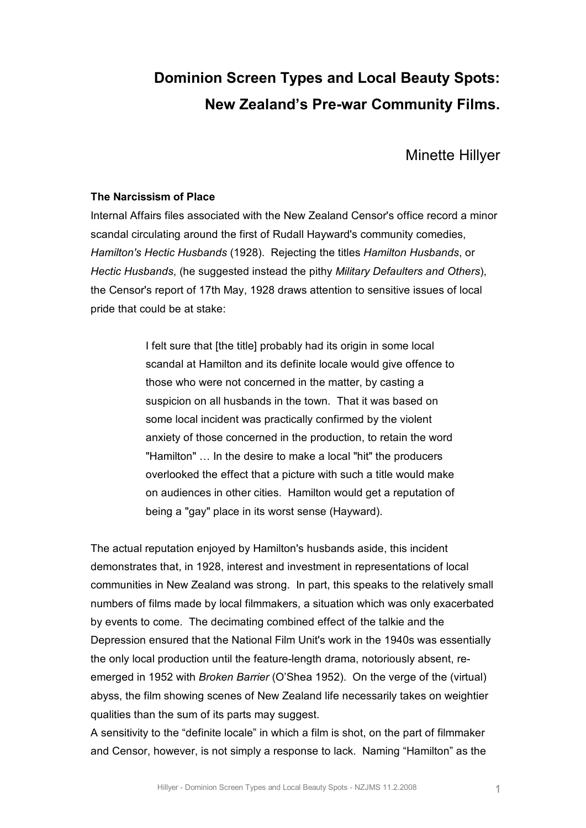# **Dominion Screen Types and Local Beauty Spots: New Zealand's Pre-war Community Films.**

Minette Hillyer

# **The Narcissism of Place**

Internal Affairs files associated with the New Zealand Censor's office record a minor scandal circulating around the first of Rudall Hayward's community comedies, *Hamilton's Hectic Husbands* (1928). Rejecting the titles *Hamilton Husbands*, or *Hectic Husbands*, (he suggested instead the pithy *Military Defaulters and Others*), the Censor's report of 17th May, 1928 draws attention to sensitive issues of local pride that could be at stake:

> I felt sure that [the title] probably had its origin in some local scandal at Hamilton and its definite locale would give offence to those who were not concerned in the matter, by casting a suspicion on all husbands in the town. That it was based on some local incident was practically confirmed by the violent anxiety of those concerned in the production, to retain the word "Hamilton" … In the desire to make a local "hit" the producers overlooked the effect that a picture with such a title would make on audiences in other cities. Hamilton would get a reputation of being a "gay" place in its worst sense (Hayward).

The actual reputation enjoyed by Hamilton's husbands aside, this incident demonstrates that, in 1928, interest and investment in representations of local communities in New Zealand was strong. In part, this speaks to the relatively small numbers of films made by local filmmakers, a situation which was only exacerbated by events to come. The decimating combined effect of the talkie and the Depression ensured that the National Film Unit's work in the 1940s was essentially the only local production until the feature-length drama, notoriously absent, reemerged in 1952 with *Broken Barrier* (O'Shea 1952). On the verge of the (virtual) abyss, the film showing scenes of New Zealand life necessarily takes on weightier qualities than the sum of its parts may suggest.

A sensitivity to the "definite locale" in which a film is shot, on the part of filmmaker and Censor, however, is not simply a response to lack. Naming "Hamilton" as the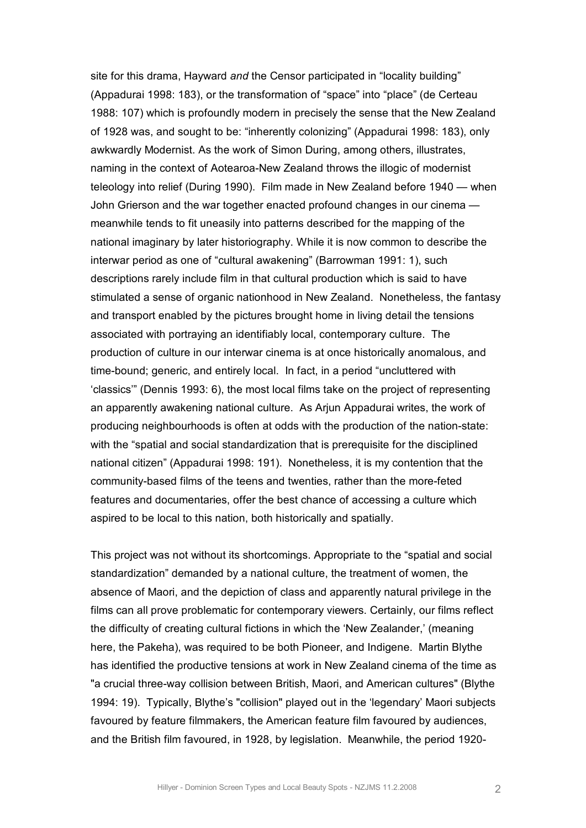site for this drama, Hayward *and* the Censor participated in "locality building" (Appadurai 1998: 183), or the transformation of "space" into "place" (de Certeau 1988: 107) which is profoundly modern in precisely the sense that the New Zealand of 1928 was, and sought to be: "inherently colonizing" (Appadurai 1998: 183), only awkwardly Modernist. As the work of Simon During, among others, illustrates, naming in the context of Aotearoa-New Zealand throws the illogic of modernist teleology into relief (During 1990). Film made in New Zealand before 1940 — when John Grierson and the war together enacted profound changes in our cinema meanwhile tends to fit uneasily into patterns described for the mapping of the national imaginary by later historiography. While it is now common to describe the interwar period as one of "cultural awakening" (Barrowman 1991: 1), such descriptions rarely include film in that cultural production which is said to have stimulated a sense of organic nationhood in New Zealand. Nonetheless, the fantasy and transport enabled by the pictures brought home in living detail the tensions associated with portraying an identifiably local, contemporary culture. The production of culture in our interwar cinema is at once historically anomalous, and time-bound; generic, and entirely local. In fact, in a period "uncluttered with 'classics'" (Dennis 1993: 6), the most local films take on the project of representing an apparently awakening national culture. As Arjun Appadurai writes, the work of producing neighbourhoods is often at odds with the production of the nation-state: with the "spatial and social standardization that is prerequisite for the disciplined national citizen" (Appadurai 1998: 191). Nonetheless, it is my contention that the community-based films of the teens and twenties, rather than the more-feted features and documentaries, offer the best chance of accessing a culture which aspired to be local to this nation, both historically and spatially.

This project was not without its shortcomings. Appropriate to the "spatial and social standardization" demanded by a national culture, the treatment of women, the absence of Maori, and the depiction of class and apparently natural privilege in the films can all prove problematic for contemporary viewers. Certainly, our films reflect the difficulty of creating cultural fictions in which the 'New Zealander,' (meaning here, the Pakeha), was required to be both Pioneer, and Indigene. Martin Blythe has identified the productive tensions at work in New Zealand cinema of the time as "a crucial threeway collision between British, Maori, and American cultures" (Blythe 1994: 19). Typically, Blythe's "collision" played out in the 'legendary' Maori subjects favoured by feature filmmakers, the American feature film favoured by audiences, and the British film favoured, in 1928, by legislation. Meanwhile, the period 1920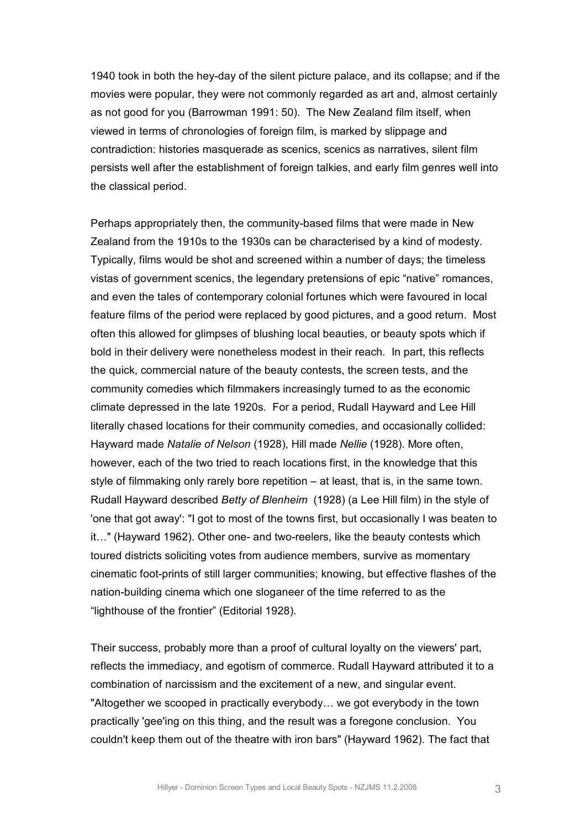1940 took in both the hey-day of the silent picture palace, and its collapse; and if the movies were popular, they were not commonly regarded as art and, almost certainly as not good for you (Barrowman 1991: 50). The New Zealand film itself, when viewed in terms of chronologies of foreign film, is marked by slippage and contradiction: histories masquerade as scenics, scenics as narratives, silent film persists well after the establishment of foreign talkies, and early film genres well into the classical period.

Perhaps appropriately then, the community-based films that were made in New Zealand from the 1910s to the 1930s can be characterised by a kind of modesty. Typically, films would be shot and screened within a number of days; the timeless vistas of government scenics, the legendary pretensions of epic "native" romances, and even the tales of contemporary colonial fortunes which were favoured in local feature films of the period were replaced by good pictures, and a good return. Most often this allowed for glimpses of blushing local beauties, or beauty spots which if bold in their delivery were nonetheless modest in their reach. In part, this reflects the quick, commercial nature of the beauty contests, the screen tests, and the community comedies which filmmakers increasingly turned to as the economic climate depressed in the late 1920s. For a period, Rudall Hayward and Lee Hill literally chased locations for their community comedies, and occasionally collided: Hayward made *Natalie of Nelson* (1928), Hill made *Nellie* (1928). More often, however, each of the two tried to reach locations first, in the knowledge that this style of filmmaking only rarely bore repetition – at least, that is, in the same town. Rudall Hayward described *Betty of Blenheim* (1928) (a Lee Hill film) in the style of 'one that got away': "I got to most of the towns first, but occasionally I was beaten to it..." (Hayward 1962). Other one- and two-reelers, like the beauty contests which toured districts soliciting votes from audience members, survive as momentary cinematic foot-prints of still larger communities; knowing, but effective flashes of the nation-building cinema which one sloganeer of the time referred to as the "lighthouse of the frontier" (Editorial 1928).

Their success, probably more than a proof of cultural loyalty on the viewers' part, reflects the immediacy, and egotism of commerce. Rudall Hayward attributed it to a combination of narcissism and the excitement of a new, and singular event. "Altogether we scooped in practically everybody… we got everybody in the town practically 'gee'ing on this thing, and the result was a foregone conclusion. You couldn't keep them out of the theatre with iron bars" (Hayward 1962). The fact that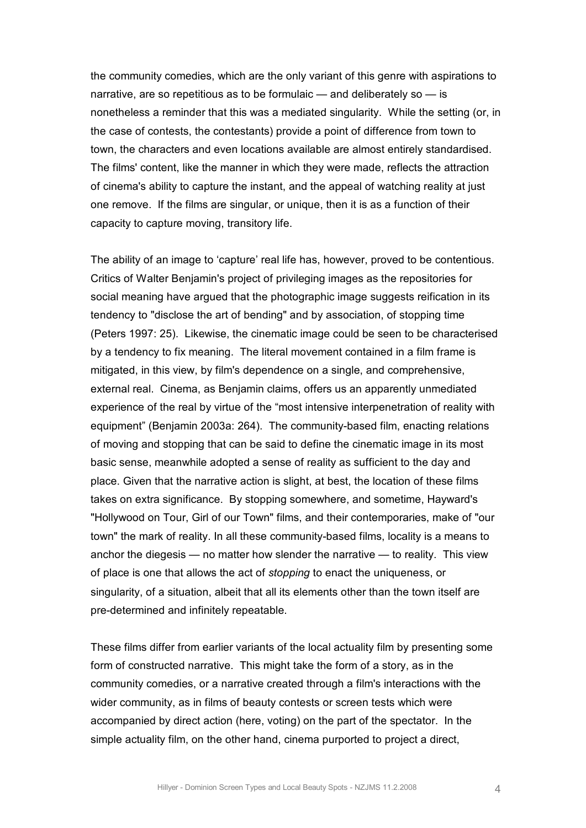the community comedies, which are the only variant of this genre with aspirations to narrative, are so repetitious as to be formulaic — and deliberately so — is nonetheless a reminder that this was a mediated singularity. While the setting (or, in the case of contests, the contestants) provide a point of difference from town to town, the characters and even locations available are almost entirely standardised. The films' content, like the manner in which they were made, reflects the attraction of cinema's ability to capture the instant, and the appeal of watching reality at just one remove. If the films are singular, or unique, then it is as a function of their capacity to capture moving, transitory life.

The ability of an image to 'capture' real life has, however, proved to be contentious. Critics of Walter Benjamin's project of privileging images as the repositories for social meaning have argued that the photographic image suggests reification in its tendency to "disclose the art of bending" and by association, of stopping time (Peters 1997: 25). Likewise, the cinematic image could be seen to be characterised by a tendency to fix meaning. The literal movement contained in a film frame is mitigated, in this view, by film's dependence on a single, and comprehensive, external real. Cinema, as Benjamin claims, offers us an apparently unmediated experience of the real by virtue of the "most intensive interpenetration of reality with equipment" (Benjamin 2003a: 264). The community-based film, enacting relations of moving and stopping that can be said to define the cinematic image in its most basic sense, meanwhile adopted a sense of reality as sufficient to the day and place. Given that the narrative action is slight, at best, the location of these films takes on extra significance. By stopping somewhere, and sometime, Hayward's "Hollywood on Tour, Girl of our Town" films, and their contemporaries, make of "our town" the mark of reality. In all these community-based films, locality is a means to anchor the diegesis — no matter how slender the narrative — to reality. This view of place is one that allows the act of *stopping* to enact the uniqueness, or singularity, of a situation, albeit that all its elements other than the town itself are pre-determined and infinitely repeatable.

These films differ from earlier variants of the local actuality film by presenting some form of constructed narrative. This might take the form of a story, as in the community comedies, or a narrative created through a film's interactions with the wider community, as in films of beauty contests or screen tests which were accompanied by direct action (here, voting) on the part of the spectator. In the simple actuality film, on the other hand, cinema purported to project a direct,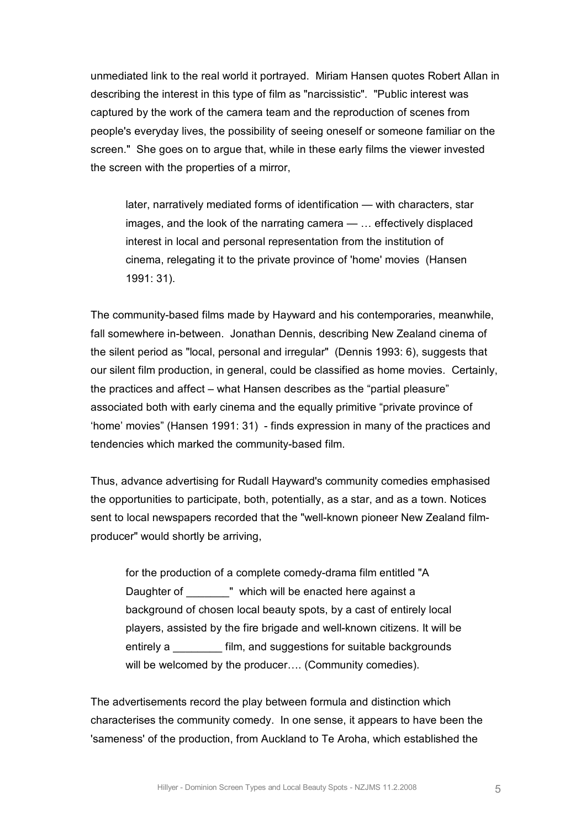unmediated link to the real world it portrayed. Miriam Hansen quotes Robert Allan in describing the interest in this type of film as "narcissistic". "Public interest was captured by the work of the camera team and the reproduction of scenes from people's everyday lives, the possibility of seeing oneself or someone familiar on the screen." She goes on to argue that, while in these early films the viewer invested the screen with the properties of a mirror,

later, narratively mediated forms of identification — with characters, star images, and the look of the narrating camera — … effectively displaced interest in local and personal representation from the institution of cinema, relegating it to the private province of 'home' movies (Hansen 1991: 31).

The community-based films made by Hayward and his contemporaries, meanwhile, fall somewhere in-between. Jonathan Dennis, describing New Zealand cinema of the silent period as "local, personal and irregular" (Dennis 1993: 6), suggests that our silent film production, in general, could be classified as home movies. Certainly, the practices and affect – what Hansen describes as the "partial pleasure" associated both with early cinema and the equally primitive "private province of 'home' movies" (Hansen 1991: 31) finds expression in many of the practices and tendencies which marked the community-based film.

Thus, advance advertising for Rudall Hayward's community comedies emphasised the opportunities to participate, both, potentially, as a star, and as a town. Notices sent to local newspapers recorded that the "well-known pioneer New Zealand filmproducer" would shortly be arriving,

for the production of a complete comedy-drama film entitled "A Daughter of " which will be enacted here against a background of chosen local beauty spots, by a cast of entirely local players, assisted by the fire brigade and well-known citizens. It will be entirely a \_\_\_\_\_\_\_\_ film, and suggestions for suitable backgrounds will be welcomed by the producer.... (Community comedies).

The advertisements record the play between formula and distinction which characterises the community comedy. In one sense, it appears to have been the 'sameness' of the production, from Auckland to Te Aroha, which established the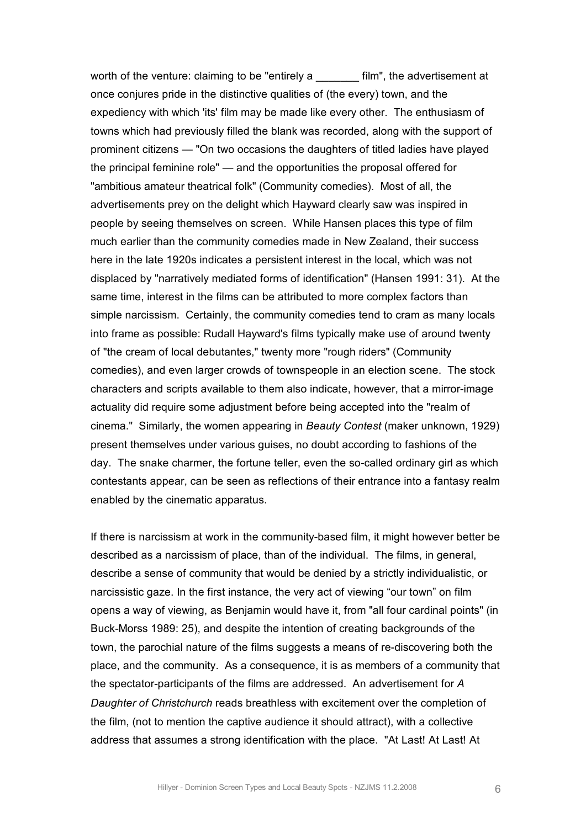worth of the venture: claiming to be "entirely a \_\_\_\_\_\_\_\_ film", the advertisement at once conjures pride in the distinctive qualities of (the every) town, and the expediency with which 'its' film may be made like every other. The enthusiasm of towns which had previously filled the blank was recorded, along with the support of prominent citizens — "On two occasions the daughters of titled ladies have played the principal feminine role" — and the opportunities the proposal offered for "ambitious amateur theatrical folk" (Community comedies). Most of all, the advertisements prey on the delight which Hayward clearly saw was inspired in people by seeing themselves on screen. While Hansen places this type of film much earlier than the community comedies made in New Zealand, their success here in the late 1920s indicates a persistent interest in the local, which was not displaced by "narratively mediated forms of identification" (Hansen 1991: 31). At the same time, interest in the films can be attributed to more complex factors than simple narcissism. Certainly, the community comedies tend to cram as many locals into frame as possible: Rudall Hayward's films typically make use of around twenty of "the cream of local debutantes," twenty more "rough riders" (Community comedies), and even larger crowds of townspeople in an election scene. The stock characters and scripts available to them also indicate, however, that a mirrorimage actuality did require some adjustment before being accepted into the "realm of cinema." Similarly, the women appearing in *Beauty Contest* (maker unknown, 1929) present themselves under various guises, no doubt according to fashions of the day. The snake charmer, the fortune teller, even the so-called ordinary girl as which contestants appear, can be seen as reflections of their entrance into a fantasy realm enabled by the cinematic apparatus.

If there is narcissism at work in the community-based film, it might however better be described as a narcissism of place, than of the individual. The films, in general, describe a sense of community that would be denied by a strictly individualistic, or narcissistic gaze. In the first instance, the very act of viewing "our town" on film opens a way of viewing, as Benjamin would have it, from "all four cardinal points" (in Buck-Morss 1989: 25), and despite the intention of creating backgrounds of the town, the parochial nature of the films suggests a means of re-discovering both the place, and the community. As a consequence, it is as members of a community that the spectator-participants of the films are addressed. An advertisement for A *Daughter of Christchurch* reads breathless with excitement over the completion of the film, (not to mention the captive audience it should attract), with a collective address that assumes a strong identification with the place. "At Last! At Last! At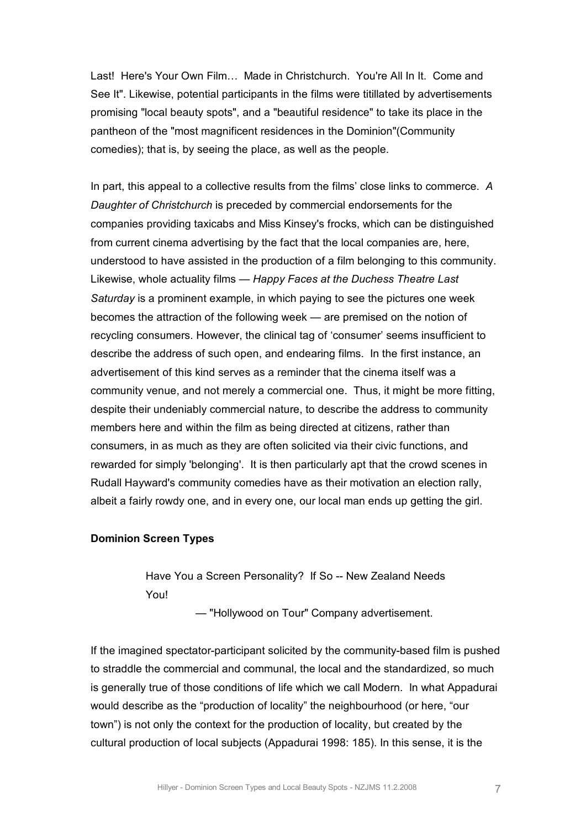Last! Here's Your Own Film... Made in Christchurch. You're All In It. Come and See It". Likewise, potential participants in the films were titillated by advertisements promising "local beauty spots", and a "beautiful residence" to take its place in the pantheon of the "most magnificent residences in the Dominion"(Community comedies); that is, by seeing the place, as well as the people.

In part, this appeal to a collective results from the films' close links to commerce. *A Daughter of Christchurch* is preceded by commercial endorsements for the companies providing taxicabs and Miss Kinsey's frocks, which can be distinguished from current cinema advertising by the fact that the local companies are, here, understood to have assisted in the production of a film belonging to this community. Likewise, whole actuality films — *Happy Faces at the Duchess Theatre Last Saturday* is a prominent example, in which paying to see the pictures one week becomes the attraction of the following week — are premised on the notion of recycling consumers. However, the clinical tag of 'consumer' seems insufficient to describe the address of such open, and endearing films. In the first instance, an advertisement of this kind serves as a reminder that the cinema itself was a community venue, and not merely a commercial one. Thus, it might be more fitting, despite their undeniably commercial nature, to describe the address to community members here and within the film as being directed at citizens, rather than consumers, in as much as they are often solicited via their civic functions, and rewarded for simply 'belonging'. It is then particularly apt that the crowd scenes in Rudall Hayward's community comedies have as their motivation an election rally, albeit a fairly rowdy one, and in every one, our local man ends up getting the girl.

#### **Dominion Screen Types**

Have You a Screen Personality? If So -- New Zealand Needs You!

— "Hollywood on Tour" Company advertisement.

If the imagined spectator-participant solicited by the community-based film is pushed to straddle the commercial and communal, the local and the standardized, so much is generally true of those conditions of life which we call Modern. In what Appadurai would describe as the "production of locality" the neighbourhood (or here, "our town") is not only the context for the production of locality, but created by the cultural production of local subjects (Appadurai 1998: 185). In this sense, it is the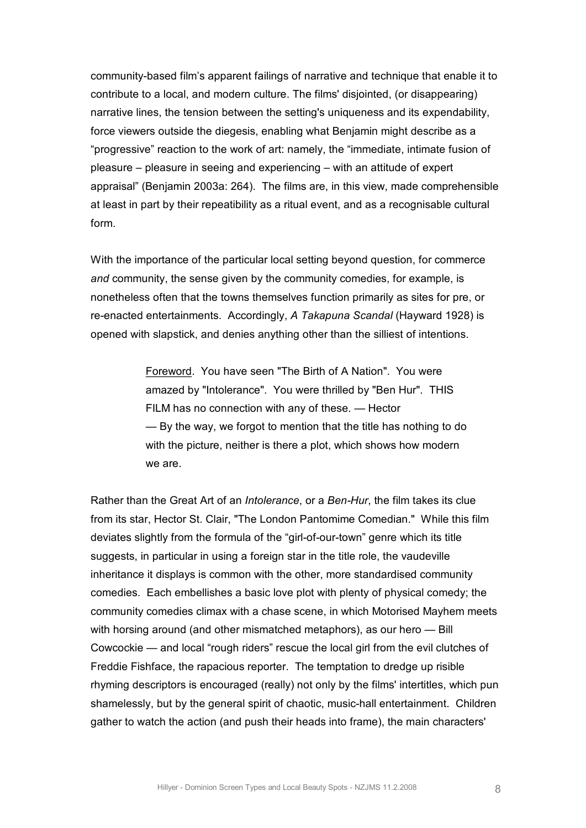community-based film's apparent failings of narrative and technique that enable it to contribute to a local, and modern culture. The films' disjointed, (or disappearing) narrative lines, the tension between the setting's uniqueness and its expendability, force viewers outside the diegesis, enabling what Benjamin might describe as a "progressive" reaction to the work of art: namely, the "immediate, intimate fusion of pleasure – pleasure in seeing and experiencing – with an attitude of expert appraisal" (Benjamin 2003a: 264). The films are, in this view, made comprehensible at least in part by their repeatibility as a ritual event, and as a recognisable cultural form.

With the importance of the particular local setting beyond question, for commerce *and* community, the sense given by the community comedies, for example, is nonetheless often that the towns themselves function primarily as sites for pre, or reenacted entertainments. Accordingly, *A Takapuna Scandal* (Hayward 1928) is opened with slapstick, and denies anything other than the silliest of intentions.

> Foreword. You have seen "The Birth of A Nation". You were amazed by "Intolerance". You were thrilled by "Ben Hur". THIS FILM has no connection with any of these. — Hector — By the way, we forgot to mention that the title has nothing to do with the picture, neither is there a plot, which shows how modern we are.

Rather than the Great Art of an *Intolerance*, or a *BenHur*, the film takes its clue from its star, Hector St. Clair, "The London Pantomime Comedian." While this film deviates slightly from the formula of the "girl-of-our-town" genre which its title suggests, in particular in using a foreign star in the title role, the vaudeville inheritance it displays is common with the other, more standardised community comedies. Each embellishes a basic love plot with plenty of physical comedy; the community comedies climax with a chase scene, in which Motorised Mayhem meets with horsing around (and other mismatched metaphors), as our hero — Bill Cowcockie — and local "rough riders" rescue the local girl from the evil clutches of Freddie Fishface, the rapacious reporter. The temptation to dredge up risible rhyming descriptors is encouraged (really) not only by the films' intertitles, which pun shamelessly, but by the general spirit of chaotic, musichall entertainment. Children gather to watch the action (and push their heads into frame), the main characters'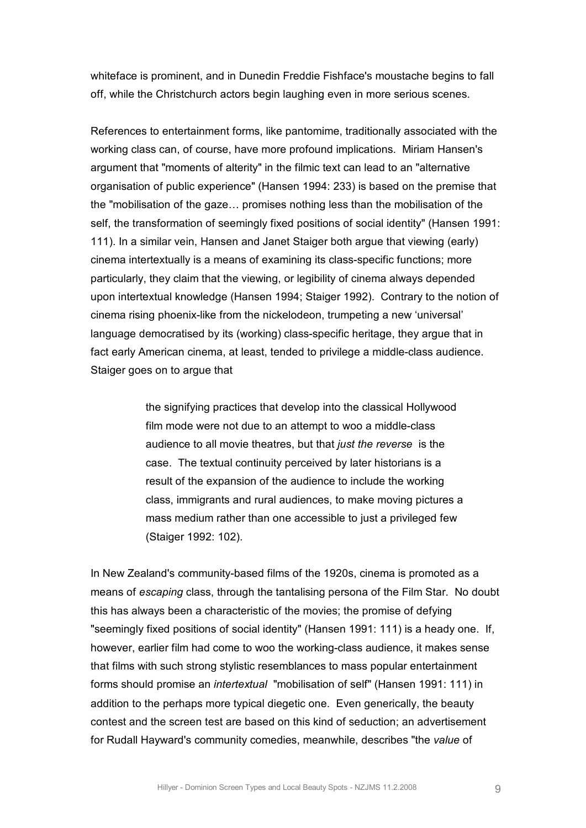whiteface is prominent, and in Dunedin Freddie Fishface's moustache begins to fall off, while the Christchurch actors begin laughing even in more serious scenes.

References to entertainment forms, like pantomime, traditionally associated with the working class can, of course, have more profound implications. Miriam Hansen's argument that "moments of alterity" in the filmic text can lead to an "alternative organisation of public experience" (Hansen 1994: 233) is based on the premise that the "mobilisation of the gaze… promises nothing less than the mobilisation of the self, the transformation of seemingly fixed positions of social identity" (Hansen 1991: 111). In a similar vein, Hansen and Janet Staiger both argue that viewing (early) cinema intertextually is a means of examining its class-specific functions; more particularly, they claim that the viewing, or legibility of cinema always depended upon intertextual knowledge (Hansen 1994; Staiger 1992). Contrary to the notion of cinema rising phoenix-like from the nickelodeon, trumpeting a new 'universal' language democratised by its (working) class-specific heritage, they argue that in fact early American cinema, at least, tended to privilege a middle-class audience. Staiger goes on to argue that

> the signifying practices that develop into the classical Hollywood film mode were not due to an attempt to woo a middle-class audience to all movie theatres, but that *just the reverse* is the case. The textual continuity perceived by later historians is a result of the expansion of the audience to include the working class, immigrants and rural audiences, to make moving pictures a mass medium rather than one accessible to just a privileged few (Staiger 1992: 102).

In New Zealand's community-based films of the 1920s, cinema is promoted as a means of *escaping* class, through the tantalising persona of the Film Star. No doubt this has always been a characteristic of the movies; the promise of defying "seemingly fixed positions of social identity" (Hansen 1991: 111) is a heady one. If, however, earlier film had come to woo the working-class audience, it makes sense that films with such strong stylistic resemblances to mass popular entertainment forms should promise an *intertextual* "mobilisation of self" (Hansen 1991: 111) in addition to the perhaps more typical diegetic one. Even generically, the beauty contest and the screen test are based on this kind of seduction; an advertisement for Rudall Hayward's community comedies, meanwhile, describes "the *value* of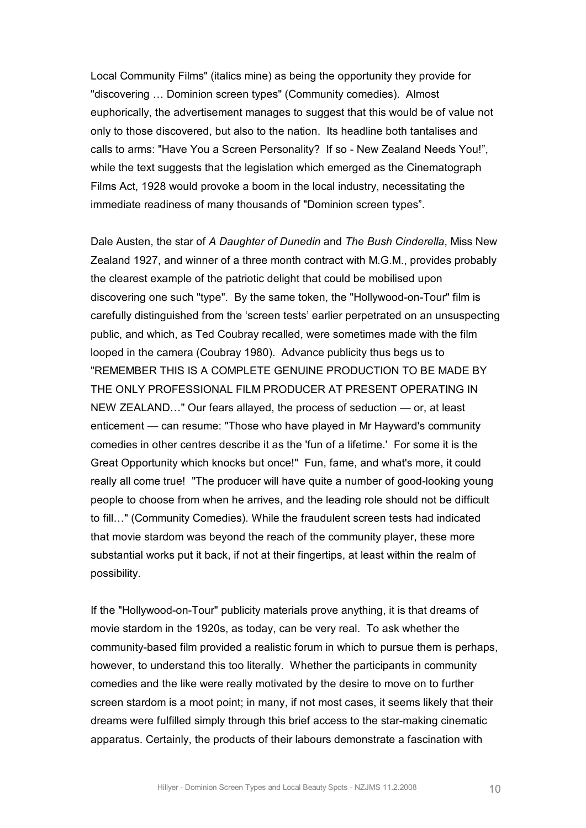Local Community Films" (italics mine) as being the opportunity they provide for "discovering … Dominion screen types" (Community comedies). Almost euphorically, the advertisement manages to suggest that this would be of value not only to those discovered, but also to the nation. Its headline both tantalises and calls to arms: "Have You a Screen Personality? If so - New Zealand Needs You!", while the text suggests that the legislation which emerged as the Cinematograph Films Act, 1928 would provoke a boom in the local industry, necessitating the immediate readiness of many thousands of "Dominion screen types".

Dale Austen, the star of *A Daughter of Dunedin* and *The Bush Cinderella*, Miss New Zealand 1927, and winner of a three month contract with M.G.M., provides probably the clearest example of the patriotic delight that could be mobilised upon discovering one such "type". By the same token, the "Hollywood-on-Tour" film is carefully distinguished from the 'screen tests' earlier perpetrated on an unsuspecting public, and which, as Ted Coubray recalled, were sometimes made with the film looped in the camera (Coubray 1980). Advance publicity thus begs us to "REMEMBER THIS IS A COMPLETE GENUINE PRODUCTION TO BE MADE BY THE ONLY PROFESSIONAL FILM PRODUCER AT PRESENT OPERATING IN NEW ZEALAND…" Our fears allayed, the process of seduction — or, at least enticement — can resume: "Those who have played in Mr Hayward's community comedies in other centres describe it as the 'fun of a lifetime.' For some it is the Great Opportunity which knocks but once!" Fun, fame, and what's more, it could really all come true! "The producer will have quite a number of good-looking young people to choose from when he arrives, and the leading role should not be difficult to fill…" (Community Comedies). While the fraudulent screen tests had indicated that movie stardom was beyond the reach of the community player, these more substantial works put it back, if not at their fingertips, at least within the realm of possibility.

If the "Hollywood-on-Tour" publicity materials prove anything, it is that dreams of movie stardom in the 1920s, as today, can be very real. To ask whether the community-based film provided a realistic forum in which to pursue them is perhaps, however, to understand this too literally. Whether the participants in community comedies and the like were really motivated by the desire to move on to further screen stardom is a moot point; in many, if not most cases, it seems likely that their dreams were fulfilled simply through this brief access to the star-making cinematic apparatus. Certainly, the products of their labours demonstrate a fascination with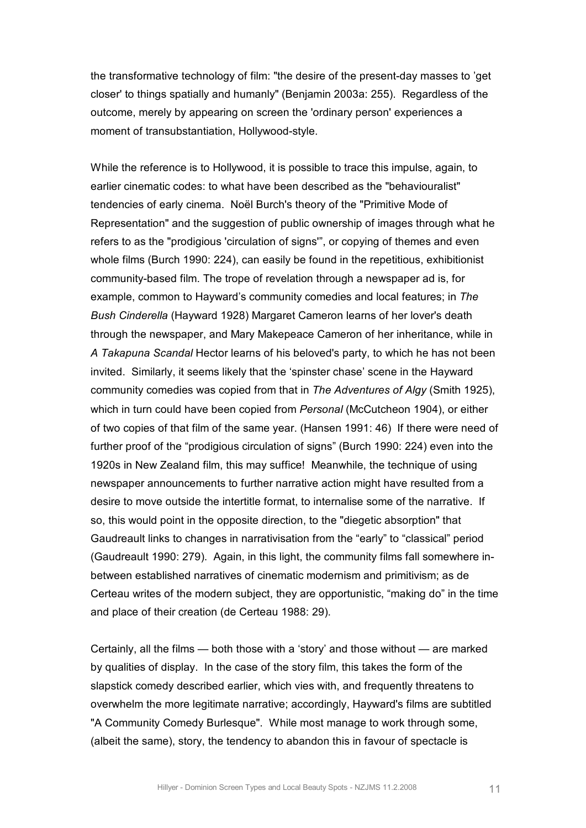the transformative technology of film: "the desire of the present-day masses to 'get closer' to things spatially and humanly" (Benjamin 2003a: 255). Regardless of the outcome, merely by appearing on screen the 'ordinary person' experiences a moment of transubstantiation, Hollywood-style.

While the reference is to Hollywood, it is possible to trace this impulse, again, to earlier cinematic codes: to what have been described as the "behaviouralist" tendencies of early cinema. Noël Burch's theory of the "Primitive Mode of Representation" and the suggestion of public ownership of images through what he refers to as the "prodigious 'circulation of signs'", or copying of themes and even whole films (Burch 1990: 224), can easily be found in the repetitious, exhibitionist community-based film. The trope of revelation through a newspaper ad is, for example, common to Hayward's community comedies and local features; in *The Bush Cinderella* (Hayward 1928) Margaret Cameron learns of her lover's death through the newspaper, and Mary Makepeace Cameron of her inheritance, while in *A Takapuna Scandal* Hector learns of his beloved's party, to which he has not been invited. Similarly, it seems likely that the 'spinster chase' scene in the Hayward community comedies was copied from that in *The Adventures of Algy* (Smith 1925), which in turn could have been copied from *Personal* (McCutcheon 1904), or either of two copies of that film of the same year. (Hansen 1991: 46) If there were need of further proof of the "prodigious circulation of signs" (Burch 1990: 224) even into the 1920s in New Zealand film, this may suffice! Meanwhile, the technique of using newspaper announcements to further narrative action might have resulted from a desire to move outside the intertitle format, to internalise some of the narrative. If so, this would point in the opposite direction, to the "diegetic absorption" that Gaudreault links to changes in narrativisation from the "early" to "classical" period (Gaudreault 1990: 279). Again, in this light, the community films fall somewhere in between established narratives of cinematic modernism and primitivism; as de Certeau writes of the modern subject, they are opportunistic, "making do" in the time and place of their creation (de Certeau 1988: 29).

Certainly, all the films — both those with a 'story' and those without — are marked by qualities of display. In the case of the story film, this takes the form of the slapstick comedy described earlier, which vies with, and frequently threatens to overwhelm the more legitimate narrative; accordingly, Hayward's films are subtitled "A Community Comedy Burlesque". While most manage to work through some, (albeit the same), story, the tendency to abandon this in favour of spectacle is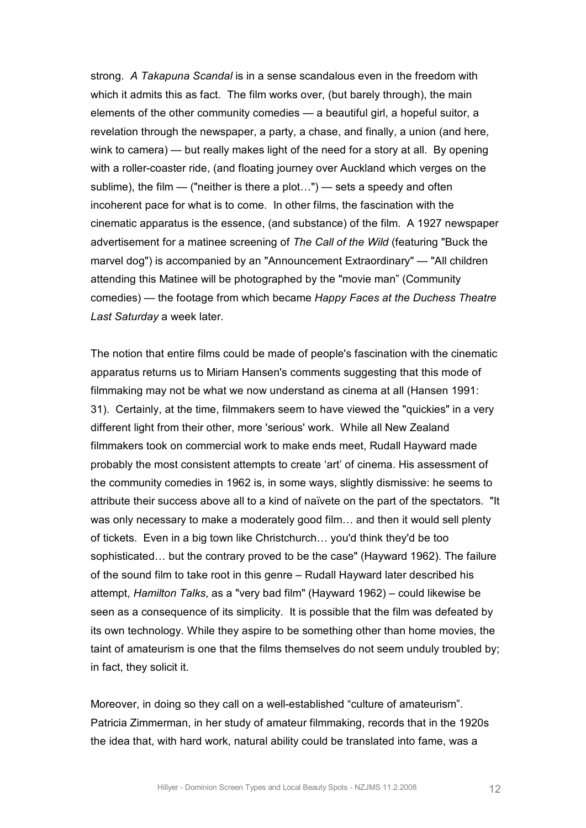strong. *A Takapuna Scandal* is in a sense scandalous even in the freedom with which it admits this as fact. The film works over, (but barely through), the main elements of the other community comedies — a beautiful girl, a hopeful suitor, a revelation through the newspaper, a party, a chase, and finally, a union (and here, wink to camera) — but really makes light of the need for a story at all. By opening with a roller-coaster ride, (and floating journey over Auckland which verges on the sublime), the film  $-$  ("neither is there a plot...")  $-$  sets a speedy and often incoherent pace for what is to come. In other films, the fascination with the cinematic apparatus is the essence, (and substance) of the film. A 1927 newspaper advertisement for a matinee screening of *The Call of the Wild* (featuring "Buck the marvel dog") is accompanied by an "Announcement Extraordinary" — "All children attending this Matinee will be photographed by the "movie man" (Community comedies) — the footage from which became *Happy Faces at the Duchess Theatre Last Saturday* a week later.

The notion that entire films could be made of people's fascination with the cinematic apparatus returns us to Miriam Hansen's comments suggesting that this mode of filmmaking may not be what we now understand as cinema at all (Hansen 1991: 31). Certainly, at the time, filmmakers seem to have viewed the "quickies" in a very different light from their other, more 'serious' work. While all New Zealand filmmakers took on commercial work to make ends meet, Rudall Hayward made probably the most consistent attempts to create 'art' of cinema. His assessment of the community comedies in 1962 is, in some ways, slightly dismissive: he seems to attribute their success above all to a kind of naïvete on the part of the spectators. "It was only necessary to make a moderately good film… and then it would sell plenty of tickets. Even in a big town like Christchurch… you'd think they'd be too sophisticated… but the contrary proved to be the case" (Hayward 1962). The failure of the sound film to take root in this genre – Rudall Hayward later described his attempt, *Hamilton Talks*, as a "very bad film" (Hayward 1962) – could likewise be seen as a consequence of its simplicity. It is possible that the film was defeated by its own technology. While they aspire to be something other than home movies, the taint of amateurism is one that the films themselves do not seem unduly troubled by; in fact, they solicit it.

Moreover, in doing so they call on a well-established "culture of amateurism". Patricia Zimmerman, in her study of amateur filmmaking, records that in the 1920s the idea that, with hard work, natural ability could be translated into fame, was a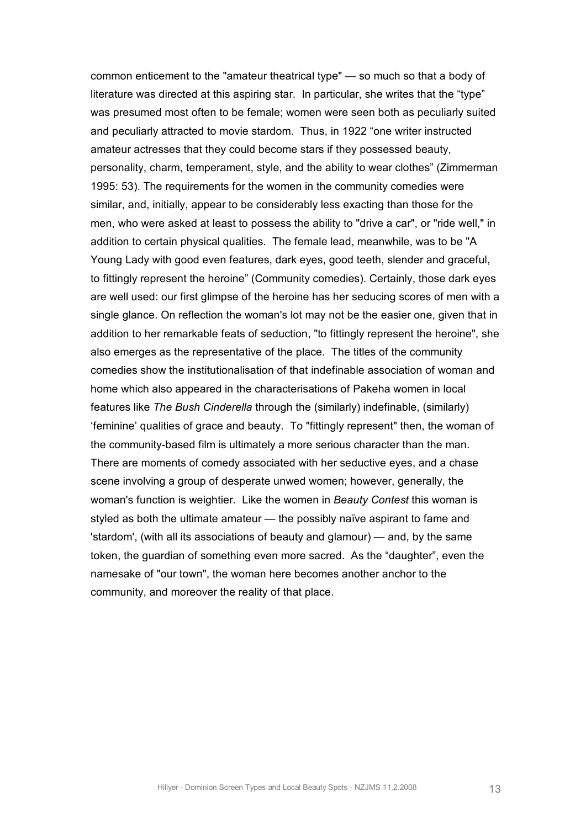common enticement to the "amateur theatrical type" — so much so that a body of literature was directed at this aspiring star. In particular, she writes that the "type" was presumed most often to be female; women were seen both as peculiarly suited and peculiarly attracted to movie stardom. Thus, in 1922 "one writer instructed amateur actresses that they could become stars if they possessed beauty, personality, charm, temperament, style, and the ability to wear clothes" (Zimmerman 1995: 53). The requirements for the women in the community comedies were similar, and, initially, appear to be considerably less exacting than those for the men, who were asked at least to possess the ability to "drive a car", or "ride well," in addition to certain physical qualities. The female lead, meanwhile, was to be "A Young Lady with good even features, dark eyes, good teeth, slender and graceful, to fittingly represent the heroine" (Community comedies). Certainly, those dark eyes are well used: our first glimpse of the heroine has her seducing scores of men with a single glance. On reflection the woman's lot may not be the easier one, given that in addition to her remarkable feats of seduction, "to fittingly represent the heroine", she also emerges as the representative of the place. The titles of the community comedies show the institutionalisation of that indefinable association of woman and home which also appeared in the characterisations of Pakeha women in local features like *The Bush Cinderella* through the (similarly) indefinable, (similarly) 'feminine' qualities of grace and beauty. To "fittingly represent" then, the woman of the community-based film is ultimately a more serious character than the man. There are moments of comedy associated with her seductive eyes, and a chase scene involving a group of desperate unwed women; however, generally, the woman's function is weightier. Like the women in *Beauty Contest* this woman is styled as both the ultimate amateur — the possibly naïve aspirant to fame and 'stardom', (with all its associations of beauty and glamour) — and, by the same token, the guardian of something even more sacred. As the "daughter", even the namesake of "our town", the woman here becomes another anchor to the community, and moreover the reality of that place.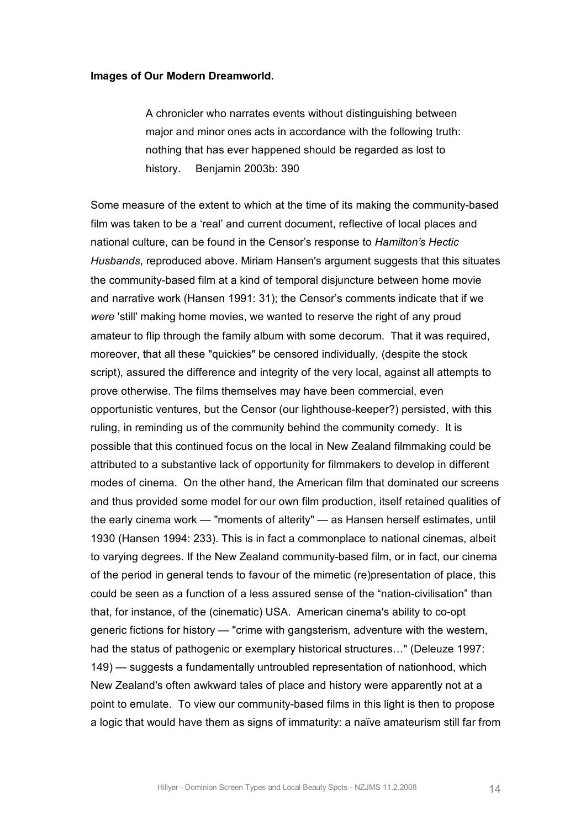#### **Images of Our Modern Dreamworld.**

A chronicler who narrates events without distinguishing between major and minor ones acts in accordance with the following truth: nothing that has ever happened should be regarded as lost to history. Benjamin 2003b: 390

Some measure of the extent to which at the time of its making the community-based film was taken to be a 'real' and current document, reflective of local places and national culture, can be found in the Censor's response to *Hamilton's Hectic Husbands*, reproduced above. Miriam Hansen's argument suggests that this situates the community-based film at a kind of temporal disjuncture between home movie and narrative work (Hansen 1991: 31); the Censor's comments indicate that if we *were* 'still' making home movies, we wanted to reserve the right of any proud amateur to flip through the family album with some decorum. That it was required, moreover, that all these "quickies" be censored individually, (despite the stock script), assured the difference and integrity of the very local, against all attempts to prove otherwise. The films themselves may have been commercial, even opportunistic ventures, but the Censor (our lighthousekeeper?) persisted, with this ruling, in reminding us of the community behind the community comedy. It is possible that this continued focus on the local in New Zealand filmmaking could be attributed to a substantive lack of opportunity for filmmakers to develop in different modes of cinema. On the other hand, the American film that dominated our screens and thus provided some model for our own film production, itself retained qualities of the early cinema work — "moments of alterity" — as Hansen herself estimates, until 1930 (Hansen 1994: 233). This is in fact a commonplace to national cinemas, albeit to varying degrees. If the New Zealand community-based film, or in fact, our cinema of the period in general tends to favour of the mimetic (re)presentation of place, this could be seen as a function of a less assured sense of the "nation-civilisation" than that, for instance, of the (cinematic) USA. American cinema's ability to co-opt generic fictions for history — "crime with gangsterism, adventure with the western, had the status of pathogenic or exemplary historical structures…" (Deleuze 1997: 149) — suggests a fundamentally untroubled representation of nationhood, which New Zealand's often awkward tales of place and history were apparently not at a point to emulate. To view our community-based films in this light is then to propose a logic that would have them as signs of immaturity: a naïve amateurism still far from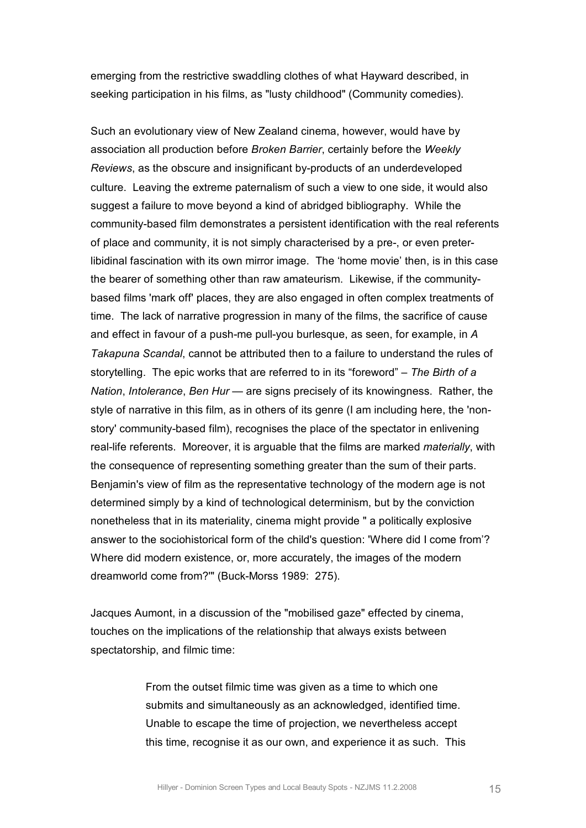emerging from the restrictive swaddling clothes of what Hayward described, in seeking participation in his films, as "lusty childhood" (Community comedies).

Such an evolutionary view of New Zealand cinema, however, would have by association all production before *Broken Barrier*, certainly before the *Weekly Reviews*, as the obscure and insignificant by-products of an underdeveloped culture. Leaving the extreme paternalism of such a view to one side, it would also suggest a failure to move beyond a kind of abridged bibliography. While the community-based film demonstrates a persistent identification with the real referents of place and community, it is not simply characterised by a pre, or even preterlibidinal fascination with its own mirror image. The 'home movie' then, is in this case the bearer of something other than raw amateurism. Likewise, if the communitybased films 'mark off' places, they are also engaged in often complex treatments of time. The lack of narrative progression in many of the films, the sacrifice of cause and effect in favour of a push-me pull-you burlesque, as seen, for example, in A *Takapuna Scandal*, cannot be attributed then to a failure to understand the rules of storytelling. The epic works that are referred to in its "foreword" – *The Birth of a Nation*, *Intolerance*, *Ben Hur* — are signs precisely of its knowingness. Rather, the style of narrative in this film, as in others of its genre (I am including here, the 'nonstory' community-based film), recognises the place of the spectator in enlivening reallife referents. Moreover, it is arguable that the films are marked *materially*, with the consequence of representing something greater than the sum of their parts. Benjamin's view of film as the representative technology of the modern age is not determined simply by a kind of technological determinism, but by the conviction nonetheless that in its materiality, cinema might provide " a politically explosive answer to the sociohistorical form of the child's question: 'Where did I come from'? Where did modern existence, or, more accurately, the images of the modern dreamworld come from?"" (Buck-Morss 1989: 275).

Jacques Aumont, in a discussion of the "mobilised gaze" effected by cinema, touches on the implications of the relationship that always exists between spectatorship, and filmic time:

> From the outset filmic time was given as a time to which one submits and simultaneously as an acknowledged, identified time. Unable to escape the time of projection, we nevertheless accept this time, recognise it as our own, and experience it as such. This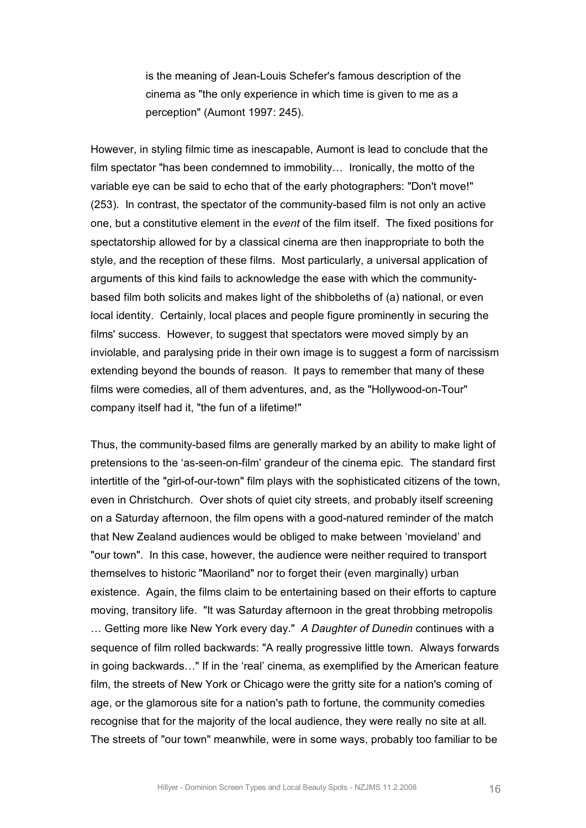is the meaning of Jean-Louis Schefer's famous description of the cinema as "the only experience in which time is given to me as a perception" (Aumont 1997: 245).

However, in styling filmic time as inescapable, Aumont is lead to conclude that the film spectator "has been condemned to immobility… Ironically, the motto of the variable eye can be said to echo that of the early photographers: "Don't move!" (253). In contrast, the spectator of the community-based film is not only an active one, but a constitutive element in the *event* of the film itself. The fixed positions for spectatorship allowed for by a classical cinema are then inappropriate to both the style, and the reception of these films. Most particularly, a universal application of arguments of this kind fails to acknowledge the ease with which the communitybased film both solicits and makes light of the shibboleths of (a) national, or even local identity. Certainly, local places and people figure prominently in securing the films' success. However, to suggest that spectators were moved simply by an inviolable, and paralysing pride in their own image is to suggest a form of narcissism extending beyond the bounds of reason. It pays to remember that many of these films were comedies, all of them adventures, and, as the "Hollywood-on-Tour" company itself had it, "the fun of a lifetime!"

Thus, the community-based films are generally marked by an ability to make light of pretensions to the 'as-seen-on-film' grandeur of the cinema epic. The standard first intertitle of the "girl-of-our-town" film plays with the sophisticated citizens of the town, even in Christchurch. Over shots of quiet city streets, and probably itself screening on a Saturday afternoon, the film opens with a good-natured reminder of the match that New Zealand audiences would be obliged to make between 'movieland' and "our town". In this case, however, the audience were neither required to transport themselves to historic "Maoriland" nor to forget their (even marginally) urban existence. Again, the films claim to be entertaining based on their efforts to capture moving, transitory life. "It was Saturday afternoon in the great throbbing metropolis … Getting more like New York every day." *A Daughter of Dunedin* continues with a sequence of film rolled backwards: "A really progressive little town. Always forwards in going backwards…" If in the 'real' cinema, as exemplified by the American feature film, the streets of New York or Chicago were the gritty site for a nation's coming of age, or the glamorous site for a nation's path to fortune, the community comedies recognise that for the majority of the local audience, they were really no site at all. The streets of "our town" meanwhile, were in some ways, probably too familiar to be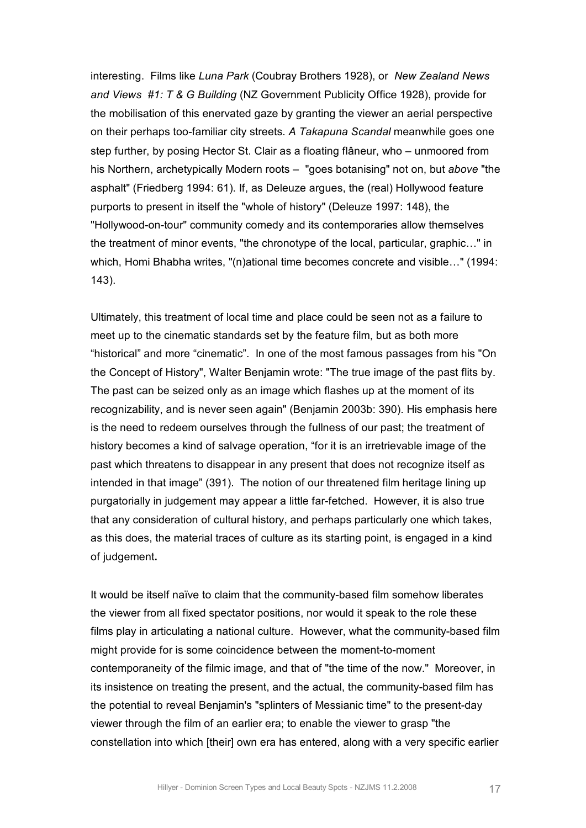interesting. Films like *Luna Park* (Coubray Brothers 1928), or *New Zealand News and Views #1: T & G Building* (NZ Government Publicity Office 1928), provide for the mobilisation of this enervated gaze by granting the viewer an aerial perspective on their perhaps toofamiliar city streets. *A Takapuna Scandal* meanwhile goes one step further, by posing Hector St. Clair as a floating flâneur, who – unmoored from his Northern, archetypically Modern roots – "goes botanising" not on, but *above* "the asphalt" (Friedberg 1994: 61). If, as Deleuze argues, the (real) Hollywood feature purports to present in itself the "whole of history" (Deleuze 1997: 148), the "Hollywood-on-tour" community comedy and its contemporaries allow themselves the treatment of minor events, "the chronotype of the local, particular, graphic…" in which, Homi Bhabha writes, "(n)ational time becomes concrete and visible…" (1994: 143).

Ultimately, this treatment of local time and place could be seen not as a failure to meet up to the cinematic standards set by the feature film, but as both more "historical" and more "cinematic". In one of the most famous passages from his "On the Concept of History", Walter Benjamin wrote: "The true image of the past flits by. The past can be seized only as an image which flashes up at the moment of its recognizability, and is never seen again" (Benjamin 2003b: 390). His emphasis here is the need to redeem ourselves through the fullness of our past; the treatment of history becomes a kind of salvage operation, "for it is an irretrievable image of the past which threatens to disappear in any present that does not recognize itself as intended in that image" (391). The notion of our threatened film heritage lining up purgatorially in judgement may appear a little farfetched. However, it is also true that any consideration of cultural history, and perhaps particularly one which takes, as this does, the material traces of culture as its starting point, is engaged in a kind of judgement**.**

It would be itself naïve to claim that the community-based film somehow liberates the viewer from all fixed spectator positions, nor would it speak to the role these films play in articulating a national culture. However, what the community-based film might provide for is some coincidence between the moment-to-moment contemporaneity of the filmic image, and that of "the time of the now." Moreover, in its insistence on treating the present, and the actual, the community-based film has the potential to reveal Benjamin's "splinters of Messianic time" to the present-day viewer through the film of an earlier era; to enable the viewer to grasp "the constellation into which [their] own era has entered, along with a very specific earlier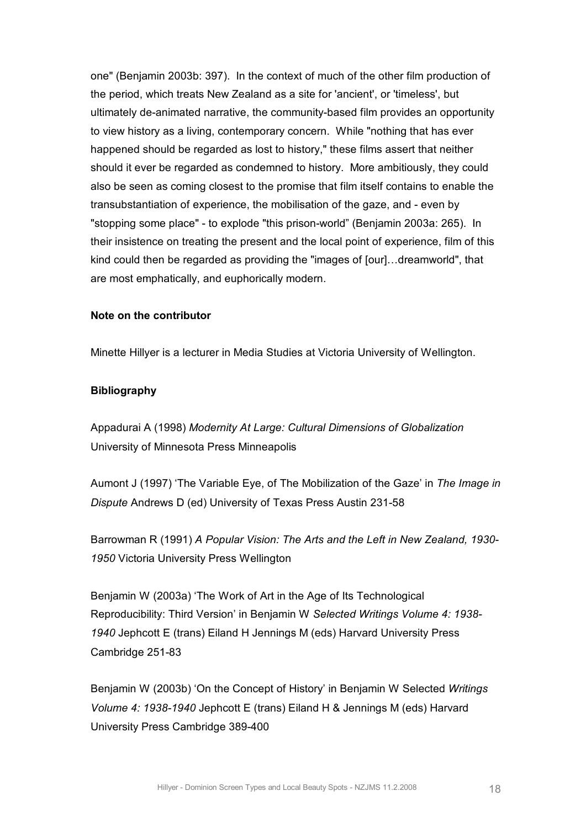one" (Benjamin 2003b: 397). In the context of much of the other film production of the period, which treats New Zealand as a site for 'ancient', or 'timeless', but ultimately de-animated narrative, the community-based film provides an opportunity to view history as a living, contemporary concern. While "nothing that has ever happened should be regarded as lost to history," these films assert that neither should it ever be regarded as condemned to history. More ambitiously, they could also be seen as coming closest to the promise that film itself contains to enable the transubstantiation of experience, the mobilisation of the gaze, and - even by "stopping some place" - to explode "this prison-world" (Benjamin 2003a: 265). In their insistence on treating the present and the local point of experience, film of this kind could then be regarded as providing the "images of [our]…dreamworld", that are most emphatically, and euphorically modern.

## **Note on the contributor**

Minette Hillyer is a lecturer in Media Studies at Victoria University of Wellington.

## **Bibliography**

Appadurai A (1998) *Modernity At Large: Cultural Dimensions of Globalization* University of Minnesota Press Minneapolis

Aumont J (1997) 'The Variable Eye, of The Mobilization of the Gaze' in *The Image in Dispute* Andrews D (ed) University of Texas Press Austin 231-58

Barrowman R (1991) *A Popular Vision: The Arts and the Left in New Zealand, 1930 1950* Victoria University Press Wellington

Benjamin W (2003a) 'The Work of Art in the Age of Its Technological Reproducibility: Third Version' in Benjamin W *Selected Writings Volume 4: 1938 1940* Jephcott E (trans) Eiland H Jennings M (eds) Harvard University Press Cambridge 251-83

Benjamin W (2003b) 'On the Concept of History' in Benjamin W Selected *Writings Volume 4: 1938-1940* Jephcott E (trans) Eiland H & Jennings M (eds) Harvard University Press Cambridge 389400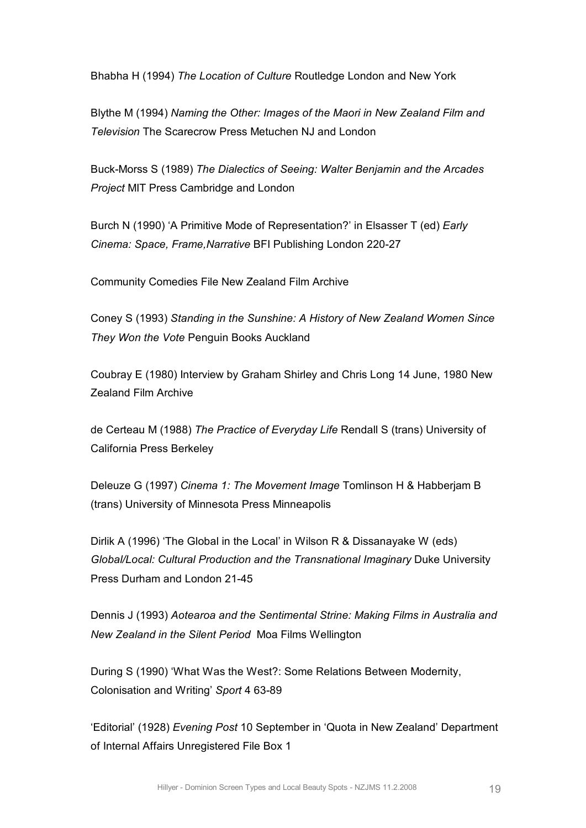Bhabha H (1994) *The Location of Culture* Routledge London and New York

Blythe M (1994) *Naming the Other: Images of the Maori in New Zealand Film and Television* The Scarecrow Press Metuchen NJ and London

Buck-Morss S (1989) *The Dialectics of Seeing: Walter Benjamin and the Arcades Project* MIT Press Cambridge and London

Burch N (1990) 'A Primitive Mode of Representation?' in Elsasser T (ed) *Early Cinema: Space, Frame, Narrative BFI Publishing London 220-27* 

Community Comedies File New Zealand Film Archive

Coney S (1993) *Standing in the Sunshine: A History of New Zealand Women Since They Won the Vote* Penguin Books Auckland

Coubray E (1980) Interview by Graham Shirley and Chris Long 14 June, 1980 New Zealand Film Archive

de Certeau M (1988) *The Practice of Everyday Life* Rendall S (trans) University of California Press Berkeley

Deleuze G (1997) *Cinema 1: The Movement Image* Tomlinson H & Habberjam B (trans) University of Minnesota Press Minneapolis

Dirlik A (1996) 'The Global in the Local' in Wilson R & Dissanayake W (eds) *Global/Local: Cultural Production and the Transnational Imaginary* Duke University Press Durham and London 21-45

Dennis J (1993) *Aotearoa and the Sentimental Strine: Making Films in Australia and New Zealand in the Silent Period* Moa Films Wellington

During S (1990) 'What Was the West?: Some Relations Between Modernity, Colonisation and Writing' Sport 4 63-89

'Editorial' (1928) *Evening Post* 10 September in 'Quota in New Zealand' Department of Internal Affairs Unregistered File Box 1